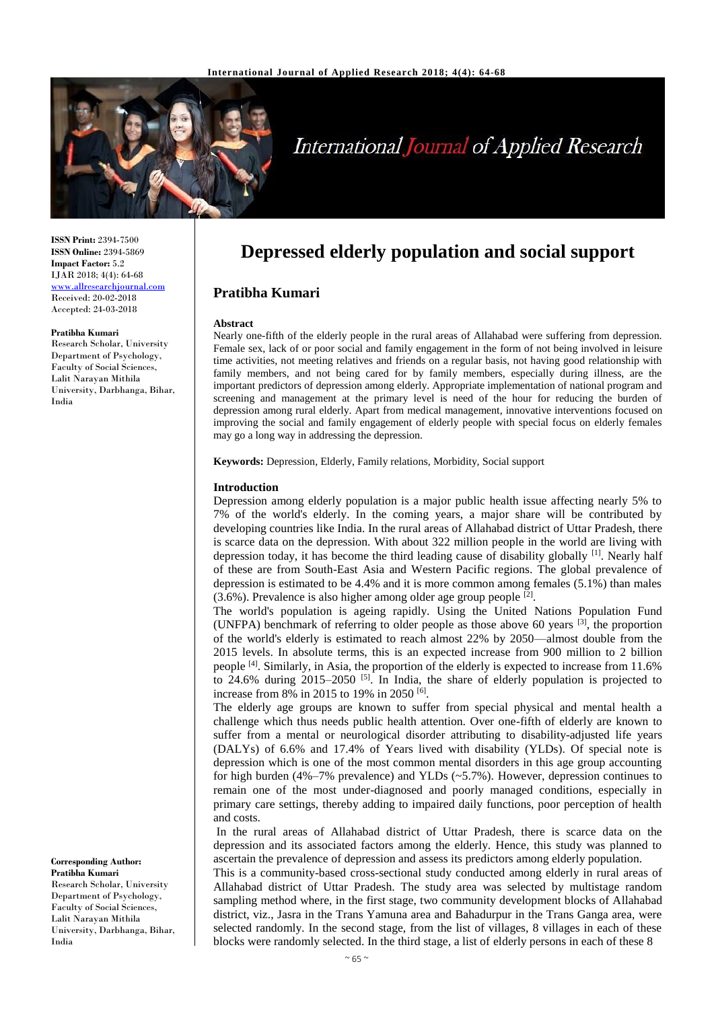

# **International Journal of Applied Research**

**ISSN Print:** 2394-7500 **ISSN Online:** 2394-5869 **Impact Factor:** 5.2 IJAR 2018; 4(4): 64-68 <www.allresearchjournal.com> Received: 20-02-2018 Accepted: 24-03-2018

### **Pratibha Kumari**

Research Scholar, University Department of Psychology, Faculty of Social Sciences, Lalit Narayan Mithila University, Darbhanga, Bihar, India

**Corresponding Author: Pratibha Kumari** Research Scholar, University Department of Psychology,

Faculty of Social Sciences, Lalit Narayan Mithila University, Darbhanga, Bihar, India

# **Depressed elderly population and social support**

# **Pratibha Kumari**

### **Abstract**

Nearly one-fifth of the elderly people in the rural areas of Allahabad were suffering from depression. Female sex, lack of or poor social and family engagement in the form of not being involved in leisure time activities, not meeting relatives and friends on a regular basis, not having good relationship with family members, and not being cared for by family members, especially during illness, are the important predictors of depression among elderly. Appropriate implementation of national program and screening and management at the primary level is need of the hour for reducing the burden of depression among rural elderly. Apart from medical management, innovative interventions focused on improving the social and family engagement of elderly people with special focus on elderly females may go a long way in addressing the depression.

**Keywords:** Depression, Elderly, Family relations, Morbidity, Social support

## **Introduction**

Depression among elderly population is a major public health issue affecting nearly 5% to 7% of the world's elderly. In the coming years, a major share will be contributed by developing countries like India. In the rural areas of Allahabad district of Uttar Pradesh, there is scarce data on the depression. With about 322 million people in the world are living with depression today, it has become the third leading cause of disability globally <sup>[1]</sup>. Nearly half of these are from South-East Asia and Western Pacific regions. The global prevalence of depression is estimated to be 4.4% and it is more common among females (5.1%) than males  $(3.6\%)$ . Prevalence is also higher among older age group people  $[2]$ .

The world's population is ageing rapidly. Using the United Nations Population Fund (UNFPA) benchmark of referring to older people as those above 60 years  $[3]$ , the proportion of the world's elderly is estimated to reach almost 22% by 2050—almost double from the 2015 levels. In absolute terms, this is an expected increase from 900 million to 2 billion people <sup>[4]</sup>. Similarly, in Asia, the proportion of the elderly is expected to increase from 11.6% to  $24.6\%$  during  $2015-2050$  [5]. In India, the share of elderly population is projected to increase from 8% in 2015 to 19% in 2050 <sup>[6]</sup>.

The elderly age groups are known to suffer from special physical and mental health a challenge which thus needs public health attention. Over one-fifth of elderly are known to suffer from a mental or neurological disorder attributing to disability-adjusted life years (DALYs) of 6.6% and 17.4% of Years lived with disability (YLDs). Of special note is depression which is one of the most common mental disorders in this age group accounting for high burden (4%–7% prevalence) and YLDs (~5.7%). However, depression continues to remain one of the most under-diagnosed and poorly managed conditions, especially in primary care settings, thereby adding to impaired daily functions, poor perception of health and costs.

In the rural areas of Allahabad district of Uttar Pradesh, there is scarce data on the depression and its associated factors among the elderly. Hence, this study was planned to ascertain the prevalence of depression and assess its predictors among elderly population.

This is a community-based cross-sectional study conducted among elderly in rural areas of Allahabad district of Uttar Pradesh. The study area was selected by multistage random sampling method where, in the first stage, two community development blocks of Allahabad district, viz., Jasra in the Trans Yamuna area and Bahadurpur in the Trans Ganga area, were selected randomly. In the second stage, from the list of villages, 8 villages in each of these blocks were randomly selected. In the third stage, a list of elderly persons in each of these 8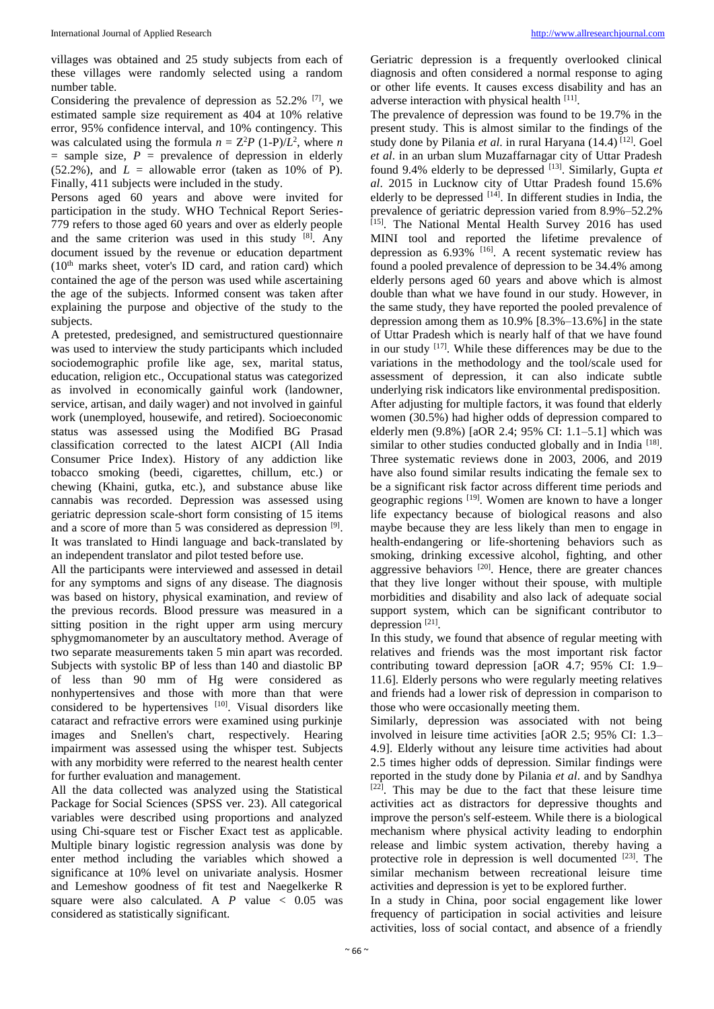villages was obtained and 25 study subjects from each of these villages were randomly selected using a random number table.

Considering the prevalence of depression as  $52.2\%$  <sup>[7]</sup>, we estimated sample size requirement as 404 at 10% relative error, 95% confidence interval, and 10% contingency. This was calculated using the formula  $n = Z^2P (1-P)/L^2$ , where *n*  $=$  sample size,  $P =$  prevalence of depression in elderly  $(52.2\%)$ , and  $L =$  allowable error (taken as 10% of P). Finally, 411 subjects were included in the study.

Persons aged 60 years and above were invited for participation in the study. WHO Technical Report Series-779 refers to those aged 60 years and over as elderly people and the same criterion was used in this study [8]. Any document issued by the revenue or education department  $(10<sup>th</sup>$  marks sheet, voter's ID card, and ration card) which contained the age of the person was used while ascertaining the age of the subjects. Informed consent was taken after explaining the purpose and objective of the study to the subjects.

A pretested, predesigned, and semistructured questionnaire was used to interview the study participants which included sociodemographic profile like age, sex, marital status, education, religion etc., Occupational status was categorized as involved in economically gainful work (landowner, service, artisan, and daily wager) and not involved in gainful work (unemployed, housewife, and retired). Socioeconomic status was assessed using the Modified BG Prasad classification corrected to the latest AICPI (All India Consumer Price Index). History of any addiction like tobacco smoking (beedi, cigarettes, chillum, etc.) or chewing (Khaini, gutka, etc.), and substance abuse like cannabis was recorded. Depression was assessed using geriatric depression scale-short form consisting of 15 items and a score of more than 5 was considered as depression [9]. It was translated to Hindi language and back-translated by an independent translator and pilot tested before use.

All the participants were interviewed and assessed in detail for any symptoms and signs of any disease. The diagnosis was based on history, physical examination, and review of the previous records. Blood pressure was measured in a sitting position in the right upper arm using mercury sphygmomanometer by an auscultatory method. Average of two separate measurements taken 5 min apart was recorded. Subjects with systolic BP of less than 140 and diastolic BP of less than 90 mm of Hg were considered as nonhypertensives and those with more than that were considered to be hypertensives [10]. Visual disorders like cataract and refractive errors were examined using purkinje images and Snellen's chart, respectively. Hearing impairment was assessed using the whisper test. Subjects with any morbidity were referred to the nearest health center for further evaluation and management.

All the data collected was analyzed using the Statistical Package for Social Sciences (SPSS ver. 23). All categorical variables were described using proportions and analyzed using Chi-square test or Fischer Exact test as applicable. Multiple binary logistic regression analysis was done by enter method including the variables which showed a significance at 10% level on univariate analysis. Hosmer and Lemeshow goodness of fit test and Naegelkerke R square were also calculated. A  $P$  value  $\lt$  0.05 was considered as statistically significant.

Geriatric depression is a frequently overlooked clinical diagnosis and often considered a normal response to aging or other life events. It causes excess disability and has an adverse interaction with physical health [11].

The prevalence of depression was found to be 19.7% in the present study. This is almost similar to the findings of the study done by Pilania et al. in rural Haryana (14.4)<sup>[12]</sup>. Goel *et al*. in an urban slum Muzaffarnagar city of Uttar Pradesh found 9.4% elderly to be depressed [13]. Similarly, Gupta et *al*. 2015 in Lucknow city of Uttar Pradesh found 15.6% elderly to be depressed <sup>[14]</sup>. In different studies in India, the prevalence of geriatric depression varied from 8.9%–52.2% [15]. The National Mental Health Survey 2016 has used MINI tool and reported the lifetime prevalence of depression as  $6.93\%$  <sup>[16]</sup>. A recent systematic review has found a pooled prevalence of depression to be 34.4% among elderly persons aged 60 years and above which is almost double than what we have found in our study. However, in the same study, they have reported the pooled prevalence of depression among them as  $10.9\%$   $[8.3\% -13.6\%]$  in the state of Uttar Pradesh which is nearly half of that we have found in our study  $[17]$ . While these differences may be due to the variations in the methodology and the tool/scale used for assessment of depression, it can also indicate subtle underlying risk indicators like environmental predisposition. After adjusting for multiple factors, it was found that elderly women (30.5%) had higher odds of depression compared to elderly men (9.8%) [aOR 2.4; 95% CI: 1.1–5.1] which was similar to other studies conducted globally and in India<sup>[18]</sup>. Three systematic reviews done in 2003, 2006, and 2019 have also found similar results indicating the female sex to be a significant risk factor across different time periods and geographic regions <sup>[19]</sup>. Women are known to have a longer life expectancy because of biological reasons and also maybe because they are less likely than men to engage in health-endangering or life-shortening behaviors such as smoking, drinking excessive alcohol, fighting, and other aggressive behaviors<sup>[20]</sup>. Hence, there are greater chances that they live longer without their spouse, with multiple morbidities and disability and also lack of adequate social support system, which can be significant contributor to depression<sup>[21]</sup>.

In this study, we found that absence of regular meeting with relatives and friends was the most important risk factor contributing toward depression [aOR 4.7; 95% CI: 1.9– 11.6]. Elderly persons who were regularly meeting relatives and friends had a lower risk of depression in comparison to those who were occasionally meeting them.

Similarly, depression was associated with not being involved in leisure time activities [aOR 2.5; 95% CI: 1.3– 4.9]. Elderly without any leisure time activities had about 2.5 times higher odds of depression. Similar findings were reported in the study done by Pilania *et al*. and by Sandhya [22]. This may be due to the fact that these leisure time activities act as distractors for depressive thoughts and improve the person's self-esteem. While there is a biological mechanism where physical activity leading to endorphin release and limbic system activation, thereby having a protective role in depression is well documented  $[23]$ . The similar mechanism between recreational leisure time activities and depression is yet to be explored further.

In a study in China, poor social engagement like lower frequency of participation in social activities and leisure activities, loss of social contact, and absence of a friendly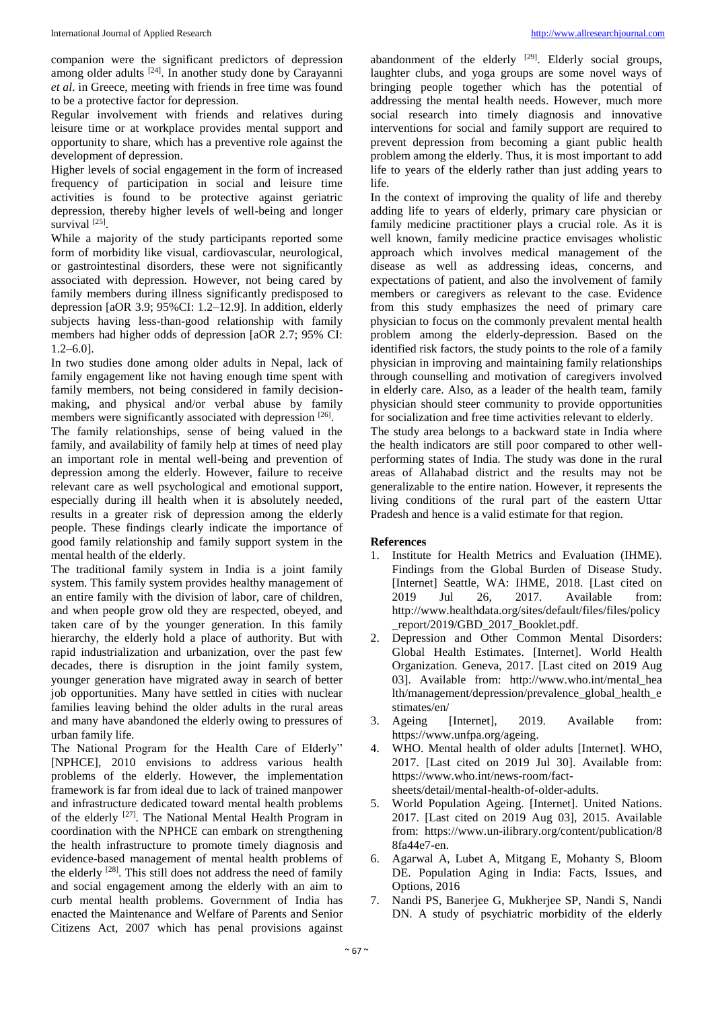companion were the significant predictors of depression among older adults  $[24]$ . In another study done by Carayanni *et al*. in Greece, meeting with friends in free time was found to be a protective factor for depression.

Regular involvement with friends and relatives during leisure time or at workplace provides mental support and opportunity to share, which has a preventive role against the development of depression.

Higher levels of social engagement in the form of increased frequency of participation in social and leisure time activities is found to be protective against geriatric depression, thereby higher levels of well-being and longer survival [25].

While a majority of the study participants reported some form of morbidity like visual, cardiovascular, neurological, or gastrointestinal disorders, these were not significantly associated with depression. However, not being cared by family members during illness significantly predisposed to depression [aOR 3.9; 95%CI: 1.2–12.9]. In addition, elderly subjects having less-than-good relationship with family members had higher odds of depression [aOR 2.7; 95% CI: 1.2–6.0].

In two studies done among older adults in Nepal, lack of family engagement like not having enough time spent with family members, not being considered in family decisionmaking, and physical and/or verbal abuse by family members were significantly associated with depression [26].

The family relationships, sense of being valued in the family, and availability of family help at times of need play an important role in mental well-being and prevention of depression among the elderly. However, failure to receive relevant care as well psychological and emotional support, especially during ill health when it is absolutely needed, results in a greater risk of depression among the elderly people. These findings clearly indicate the importance of good family relationship and family support system in the mental health of the elderly.

The traditional family system in India is a joint family system. This family system provides healthy management of an entire family with the division of labor, care of children, and when people grow old they are respected, obeyed, and taken care of by the younger generation. In this family hierarchy, the elderly hold a place of authority. But with rapid industrialization and urbanization, over the past few decades, there is disruption in the joint family system, younger generation have migrated away in search of better job opportunities. Many have settled in cities with nuclear families leaving behind the older adults in the rural areas and many have abandoned the elderly owing to pressures of urban family life.

The National Program for the Health Care of Elderly" [NPHCE], 2010 envisions to address various health problems of the elderly. However, the implementation framework is far from ideal due to lack of trained manpower and infrastructure dedicated toward mental health problems of the elderly <sup>[27]</sup>. The National Mental Health Program in coordination with the NPHCE can embark on strengthening the health infrastructure to promote timely diagnosis and evidence-based management of mental health problems of the elderly <sup>[28]</sup>. This still does not address the need of family and social engagement among the elderly with an aim to curb mental health problems. Government of India has enacted the Maintenance and Welfare of Parents and Senior Citizens Act, 2007 which has penal provisions against

abandonment of the elderly  $[29]$ . Elderly social groups, laughter clubs, and yoga groups are some novel ways of bringing people together which has the potential of addressing the mental health needs. However, much more social research into timely diagnosis and innovative interventions for social and family support are required to prevent depression from becoming a giant public health problem among the elderly. Thus, it is most important to add life to years of the elderly rather than just adding years to life.

In the context of improving the quality of life and thereby adding life to years of elderly, primary care physician or family medicine practitioner plays a crucial role. As it is well known, family medicine practice envisages wholistic approach which involves medical management of the disease as well as addressing ideas, concerns, and expectations of patient, and also the involvement of family members or caregivers as relevant to the case. Evidence from this study emphasizes the need of primary care physician to focus on the commonly prevalent mental health problem among the elderly-depression. Based on the identified risk factors, the study points to the role of a family physician in improving and maintaining family relationships through counselling and motivation of caregivers involved in elderly care. Also, as a leader of the health team, family physician should steer community to provide opportunities for socialization and free time activities relevant to elderly.

The study area belongs to a backward state in India where the health indicators are still poor compared to other wellperforming states of India. The study was done in the rural areas of Allahabad district and the results may not be generalizable to the entire nation. However, it represents the living conditions of the rural part of the eastern Uttar Pradesh and hence is a valid estimate for that region.

# **References**

- 1. Institute for Health Metrics and Evaluation (IHME). Findings from the Global Burden of Disease Study. [Internet] Seattle, WA: IHME, 2018. [Last cited on 2019 Jul 26, 2017. Available from: [http://www.healthdata.org/sites/default/files/files/policy](http://www.healthdata.org/sites/default/files/files/policy_report/2019/GBD_2017_Booklet.pdf) [\\_report/2019/GBD\\_2017\\_Booklet.pdf.](http://www.healthdata.org/sites/default/files/files/policy_report/2019/GBD_2017_Booklet.pdf)
- 2. Depression and Other Common Mental Disorders: Global Health Estimates. [Internet]. World Health Organization. Geneva, 2017. [Last cited on 2019 Aug 03]. Available from: http://www.who.int/mental hea [lth/management/depression/prevalence\\_global\\_health\\_e](http://www.who.int/mental_health/management/depression/prevalence_global_health_estimates/en/) [stimates/en/](http://www.who.int/mental_health/management/depression/prevalence_global_health_estimates/en/)
- 3. Ageing [Internet], 2019. Available from: [https://www.unfpa.org/ageing.](https://www.unfpa.org/ageing)
- 4. WHO. Mental health of older adults [Internet]. WHO, 2017. [Last cited on 2019 Jul 30]. Available from: [https://www.who.int/news-room/fact](https://www.who.int/news-room/fact-sheets/detail/mental-health-of-older-adults)[sheets/detail/mental-health-of-older-adults.](https://www.who.int/news-room/fact-sheets/detail/mental-health-of-older-adults)
- 5. World Population Ageing. [Internet]. United Nations. 2017. [Last cited on 2019 Aug 03], 2015. Available from: [https://www.un-ilibrary.org/content/publication/8](https://www.un-ilibrary.org/content/publication/88fa44e7-en)  [8fa44e7-en.](https://www.un-ilibrary.org/content/publication/88fa44e7-en)
- 6. Agarwal A, Lubet A, Mitgang E, Mohanty S, Bloom DE. Population Aging in India: Facts, Issues, and Options, 2016
- 7. Nandi PS, Banerjee G, Mukherjee SP, Nandi S, Nandi DN. A study of psychiatric morbidity of the elderly